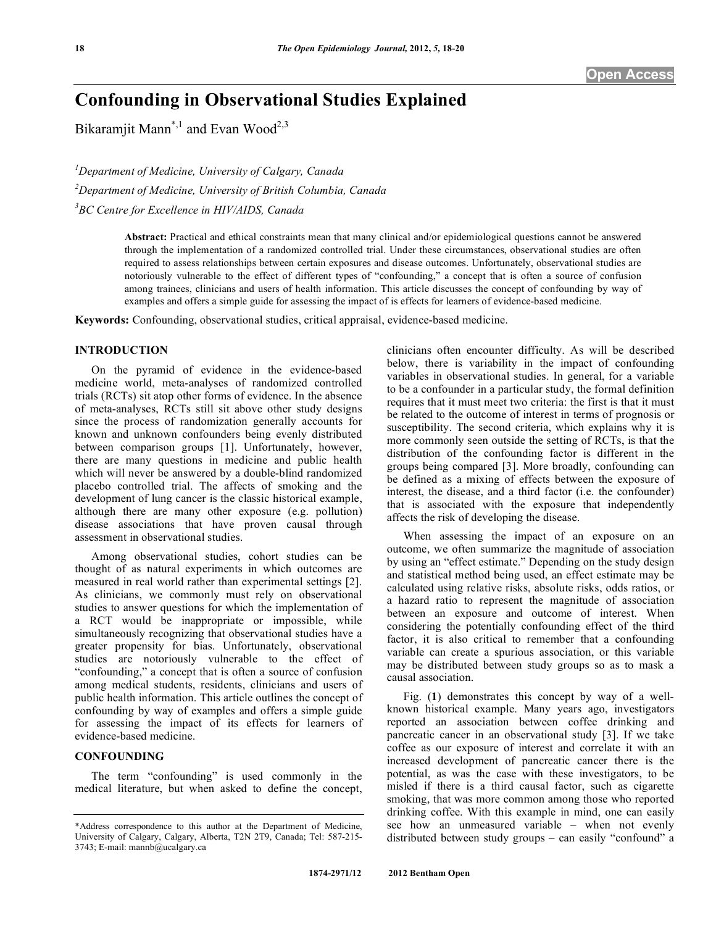# **Confounding in Observational Studies Explained**

Bikaramjit Mann<sup>\*,1</sup> and Evan Wood<sup>2,3</sup>

*1 Department of Medicine, University of Calgary, Canada 2 Department of Medicine, University of British Columbia, Canada 3 BC Centre for Excellence in HIV/AIDS, Canada* 

> **Abstract:** Practical and ethical constraints mean that many clinical and/or epidemiological questions cannot be answered through the implementation of a randomized controlled trial. Under these circumstances, observational studies are often required to assess relationships between certain exposures and disease outcomes. Unfortunately, observational studies are notoriously vulnerable to the effect of different types of "confounding," a concept that is often a source of confusion among trainees, clinicians and users of health information. This article discusses the concept of confounding by way of examples and offers a simple guide for assessing the impact of is effects for learners of evidence-based medicine.

**Keywords:** Confounding, observational studies, critical appraisal, evidence-based medicine.

# **INTRODUCTION**

 On the pyramid of evidence in the evidence-based medicine world, meta-analyses of randomized controlled trials (RCTs) sit atop other forms of evidence. In the absence of meta-analyses, RCTs still sit above other study designs since the process of randomization generally accounts for known and unknown confounders being evenly distributed between comparison groups [1]. Unfortunately, however, there are many questions in medicine and public health which will never be answered by a double-blind randomized placebo controlled trial. The affects of smoking and the development of lung cancer is the classic historical example, although there are many other exposure (e.g. pollution) disease associations that have proven causal through assessment in observational studies.

 Among observational studies, cohort studies can be thought of as natural experiments in which outcomes are measured in real world rather than experimental settings [2]. As clinicians, we commonly must rely on observational studies to answer questions for which the implementation of a RCT would be inappropriate or impossible, while simultaneously recognizing that observational studies have a greater propensity for bias. Unfortunately, observational studies are notoriously vulnerable to the effect of "confounding," a concept that is often a source of confusion among medical students, residents, clinicians and users of public health information. This article outlines the concept of confounding by way of examples and offers a simple guide for assessing the impact of its effects for learners of evidence-based medicine.

# **CONFOUNDING**

 The term "confounding" is used commonly in the medical literature, but when asked to define the concept, clinicians often encounter difficulty. As will be described below, there is variability in the impact of confounding variables in observational studies. In general, for a variable to be a confounder in a particular study, the formal definition requires that it must meet two criteria: the first is that it must be related to the outcome of interest in terms of prognosis or susceptibility. The second criteria, which explains why it is more commonly seen outside the setting of RCTs, is that the distribution of the confounding factor is different in the groups being compared [3]. More broadly, confounding can be defined as a mixing of effects between the exposure of interest, the disease, and a third factor (i.e. the confounder) that is associated with the exposure that independently affects the risk of developing the disease.

 When assessing the impact of an exposure on an outcome, we often summarize the magnitude of association by using an "effect estimate." Depending on the study design and statistical method being used, an effect estimate may be calculated using relative risks, absolute risks, odds ratios, or a hazard ratio to represent the magnitude of association between an exposure and outcome of interest. When considering the potentially confounding effect of the third factor, it is also critical to remember that a confounding variable can create a spurious association, or this variable may be distributed between study groups so as to mask a causal association.

 Fig. (**1**) demonstrates this concept by way of a wellknown historical example. Many years ago, investigators reported an association between coffee drinking and pancreatic cancer in an observational study [3]. If we take coffee as our exposure of interest and correlate it with an increased development of pancreatic cancer there is the potential, as was the case with these investigators, to be misled if there is a third causal factor, such as cigarette smoking, that was more common among those who reported drinking coffee. With this example in mind, one can easily see how an unmeasured variable – when not evenly distributed between study groups – can easily "confound" a

<sup>\*</sup>Address correspondence to this author at the Department of Medicine, University of Calgary, Calgary, Alberta, T2N 2T9, Canada; Tel: 587-215- 3743; E-mail: mannb@ucalgary.ca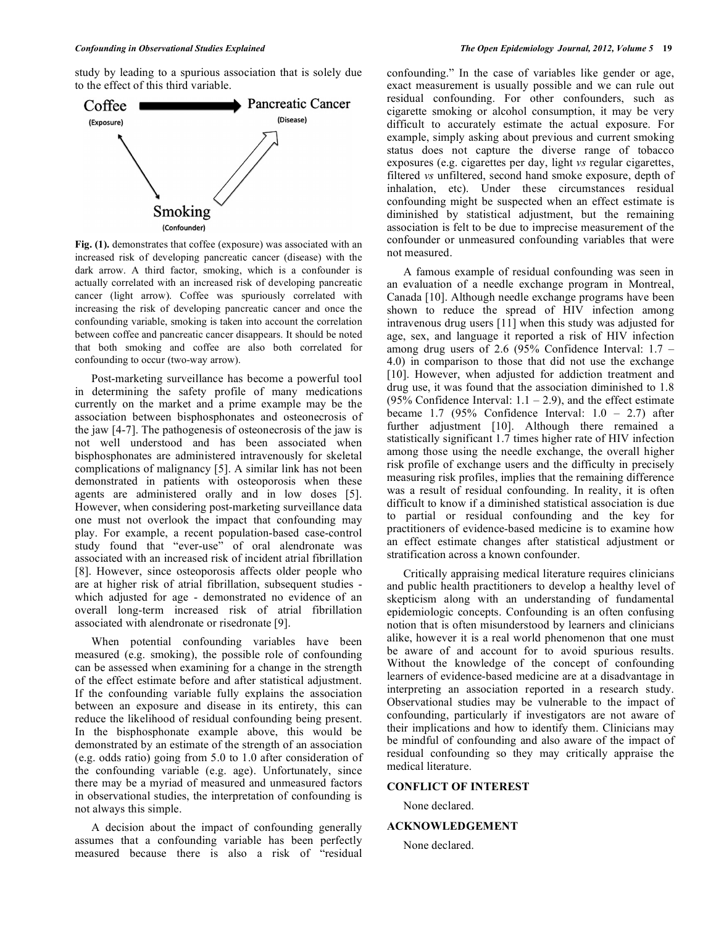study by leading to a spurious association that is solely due to the effect of this third variable.



**Fig. (1).** demonstrates that coffee (exposure) was associated with an increased risk of developing pancreatic cancer (disease) with the dark arrow. A third factor, smoking, which is a confounder is actually correlated with an increased risk of developing pancreatic cancer (light arrow). Coffee was spuriously correlated with increasing the risk of developing pancreatic cancer and once the confounding variable, smoking is taken into account the correlation between coffee and pancreatic cancer disappears. It should be noted that both smoking and coffee are also both correlated for confounding to occur (two-way arrow).

 Post-marketing surveillance has become a powerful tool in determining the safety profile of many medications currently on the market and a prime example may be the association between bisphosphonates and osteonecrosis of the jaw [4-7]. The pathogenesis of osteonecrosis of the jaw is not well understood and has been associated when bisphosphonates are administered intravenously for skeletal complications of malignancy [5]. A similar link has not been demonstrated in patients with osteoporosis when these agents are administered orally and in low doses [5]. However, when considering post-marketing surveillance data one must not overlook the impact that confounding may play. For example, a recent population-based case-control study found that "ever-use" of oral alendronate was associated with an increased risk of incident atrial fibrillation [8]. However, since osteoporosis affects older people who are at higher risk of atrial fibrillation, subsequent studies which adjusted for age - demonstrated no evidence of an overall long-term increased risk of atrial fibrillation associated with alendronate or risedronate [9].

 When potential confounding variables have been measured (e.g. smoking), the possible role of confounding can be assessed when examining for a change in the strength of the effect estimate before and after statistical adjustment. If the confounding variable fully explains the association between an exposure and disease in its entirety, this can reduce the likelihood of residual confounding being present. In the bisphosphonate example above, this would be demonstrated by an estimate of the strength of an association (e.g. odds ratio) going from 5.0 to 1.0 after consideration of the confounding variable (e.g. age). Unfortunately, since there may be a myriad of measured and unmeasured factors in observational studies, the interpretation of confounding is not always this simple.

 A decision about the impact of confounding generally assumes that a confounding variable has been perfectly measured because there is also a risk of "residual confounding." In the case of variables like gender or age, exact measurement is usually possible and we can rule out residual confounding. For other confounders, such as cigarette smoking or alcohol consumption, it may be very difficult to accurately estimate the actual exposure. For example, simply asking about previous and current smoking status does not capture the diverse range of tobacco exposures (e.g. cigarettes per day, light *vs* regular cigarettes, filtered *vs* unfiltered, second hand smoke exposure, depth of inhalation, etc). Under these circumstances residual confounding might be suspected when an effect estimate is diminished by statistical adjustment, but the remaining association is felt to be due to imprecise measurement of the confounder or unmeasured confounding variables that were not measured.

 A famous example of residual confounding was seen in an evaluation of a needle exchange program in Montreal, Canada [10]. Although needle exchange programs have been shown to reduce the spread of HIV infection among intravenous drug users [11] when this study was adjusted for age, sex, and language it reported a risk of HIV infection among drug users of 2.6 (95% Confidence Interval: 1.7 – 4.0) in comparison to those that did not use the exchange [10]. However, when adjusted for addiction treatment and drug use, it was found that the association diminished to 1.8 (95% Confidence Interval:  $1.1 - 2.9$ ), and the effect estimate became 1.7 (95% Confidence Interval:  $1.0 - 2.7$ ) after further adjustment [10]. Although there remained a statistically significant 1.7 times higher rate of HIV infection among those using the needle exchange, the overall higher risk profile of exchange users and the difficulty in precisely measuring risk profiles, implies that the remaining difference was a result of residual confounding. In reality, it is often difficult to know if a diminished statistical association is due to partial or residual confounding and the key for practitioners of evidence-based medicine is to examine how an effect estimate changes after statistical adjustment or stratification across a known confounder.

 Critically appraising medical literature requires clinicians and public health practitioners to develop a healthy level of skepticism along with an understanding of fundamental epidemiologic concepts. Confounding is an often confusing notion that is often misunderstood by learners and clinicians alike, however it is a real world phenomenon that one must be aware of and account for to avoid spurious results. Without the knowledge of the concept of confounding learners of evidence-based medicine are at a disadvantage in interpreting an association reported in a research study. Observational studies may be vulnerable to the impact of confounding, particularly if investigators are not aware of their implications and how to identify them. Clinicians may be mindful of confounding and also aware of the impact of residual confounding so they may critically appraise the medical literature.

### **CONFLICT OF INTEREST**

None declared.

# **ACKNOWLEDGEMENT**

None declared.